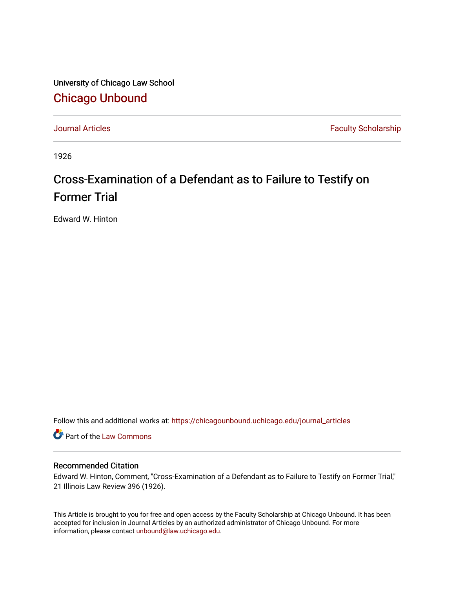University of Chicago Law School [Chicago Unbound](https://chicagounbound.uchicago.edu/)

[Journal Articles](https://chicagounbound.uchicago.edu/journal_articles) **Faculty Scholarship Faculty Scholarship** 

1926

## Cross-Examination of a Defendant as to Failure to Testify on Former Trial

Edward W. Hinton

Follow this and additional works at: [https://chicagounbound.uchicago.edu/journal\\_articles](https://chicagounbound.uchicago.edu/journal_articles?utm_source=chicagounbound.uchicago.edu%2Fjournal_articles%2F9054&utm_medium=PDF&utm_campaign=PDFCoverPages) 

Part of the [Law Commons](http://network.bepress.com/hgg/discipline/578?utm_source=chicagounbound.uchicago.edu%2Fjournal_articles%2F9054&utm_medium=PDF&utm_campaign=PDFCoverPages)

## Recommended Citation

Edward W. Hinton, Comment, "Cross-Examination of a Defendant as to Failure to Testify on Former Trial," 21 Illinois Law Review 396 (1926).

This Article is brought to you for free and open access by the Faculty Scholarship at Chicago Unbound. It has been accepted for inclusion in Journal Articles by an authorized administrator of Chicago Unbound. For more information, please contact [unbound@law.uchicago.edu](mailto:unbound@law.uchicago.edu).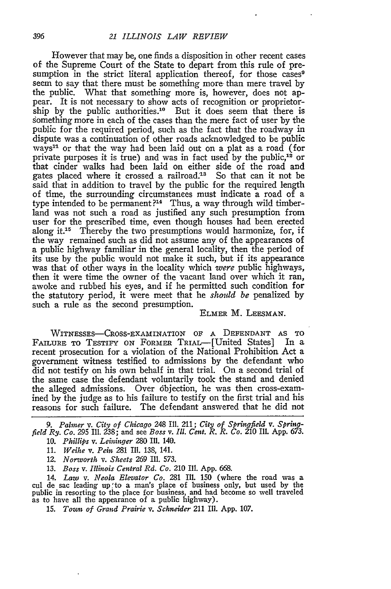However that may be, one finds a disposition in other recent cases of the Supreme Court of the State to depart from this rule of presumption in the strict literal application thereof, for those cases<sup>9</sup> seem to say that there must be something more than mere travel by the public. What that something more is, however, does not appear. It is not necessary to show acts of recognition or proprietorship by the public authorities.<sup>10</sup> But it does seem that there is something more in each of the cases than the mere fact of user by the public for the required period, such as the fact that the roadway in dispute was a continuation of other roads acknowledged to be public ways'" or that the way had been laid out on a plat as a road (for private purposes it is true) and was in fact used by the public,<sup>12</sup> or that cinder walks had been laid on either side of the road and gates placed where it crossed a railroad.<sup>13</sup> So that can it not be said that in addition to travel by the public for the required length of time, the surrounding circumstances must indicate a road of a type intended to be permanent *?"4* Thus, a way through wild timberland was not such a road as justified any such presumption from user for the prescribed time, even though houses had been erected along it.15 Thereby the two presumptions would harmonize, for, if the way remained such as did not assume any of the appearances of a public highway familiar in the general locality, then the period of its use by the public would not make it such, but if its appearance was that of other ways in the locality which *were* public highways, then it were time the owner of the vacant land over which it ran, awoke and rubbed his eyes, and if he permitted such condition for the statutory period, it were meet that he *shoidd be* penalized by such a rule as the second presumption.

## ELMER M. LEESMAN.

WITNESSES-CROSS-EXAMINATION OF A DEFENDANT AS TO FAILURE To TESTIFY **ON** FORMER TRIAL-[United States] In a recent prosecution for a violation of the National Prohibition Act a government witness testified to admissions by the defendant who did not testify on his own behalf in that trial. On a second trial of the same case the defendant voluntarily took the stand and denied the alleged admissions. Over objection, he was then cross-examined by the judge as to his failure to testify on the first trial and his reasons for such failure. The defendant answered that he did not

*9. Palner v. City of Chicago* 248 Ill. 211; *City of Springfield v. Springfield Ry. Co. 295* Ill. 238; and see *Boss v. Ill. Cent. R. R. Co.* 210 Ill. App. 673.

10. *Phillips v. Leininger* 280 Ill. 140.

11. *Weihe v. Pein* 281 **I1.** 138, 141. *12. Norworth v. Sheets* 269 Ili. 573.

13. *Boss v. Illinois Central Rd. Co.* 210 Ill. App. 668.

14. *Law v. Neola Elevator Co.* 281 Ill. 150 (where the road was a cul de sac leading up to a man's place of business only, but used by the public in resorting to the place for business, and had become so well traveled as to have all the appearance of a public highway).

**15.** *Tom; of Grand Prairie v. Schneider* 211 II1. App. 107.

396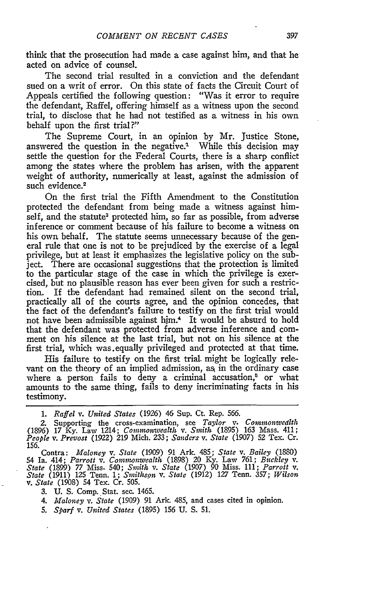think that the prosecution had made a case against him, and that he acted on advice of counsel.

The second trial resulted in a conviction and the defendant sued on a writ of error. On this state of facts the Circuit Court of Appeals certified the following question: "Was it error to require the defendant, Raffel, offering himself as a witness upon the second trial, to disclose that he had not testified as a witness in his own behalf upon the first trial?"

The Supreme Court, in an opinion by Mr. Justice Stone, answered the question in the negative.' While this decision may settle the question for the Federal Courts, there is a sharp conflict among the states where the problem has arisen, with the apparent weight of authority, numerically at least, against the admission of such evidence.<sup>2</sup>

On the first trial the Fifth Amendment to the Constitution protected the defendant from being made a witness against himself, and the statute<sup>3</sup> protected him, so far as possible, from adverse inference or comment because of his failure to become a witness on his own behalf. The statute seems unnecessary because of the general rule that one is not to be prejudiced by the exercise of a legal privilege, but at least it emphasizes the legislative policy on the subject. There are occasional suggestions that the protection is limited to the particular stage of the case in which the privilege is exercised, but no plausible reason has ever been given for such a restriction. If the defendant had remained silent on the second trial, practically all of the courts agree, and the opinion concedes, that the fact of the defendant's failure to testify on the first trial would not have been admissible against him.<sup>4</sup> It would be absurd to hold that the defendant was protected from adverse inference and comment on his silence at the last trial, but not on his silence at the first trial, which was.equally privileged and protected at that time.

His failure to testify on the first trial, might be logically relevant on the theory of an implied admission, as in the ordinary case where a person fails to deny a criminal accusation, $5$  or what amounts to the same thing, fails to deny incriminating facts in his testimony.

*1. Raffel v. United States* (1926) 46 Sup. Ct. Rep. 566.

- 3. U. S. Comp.\_Stat. sec. 1465.
- *4. Maloney v. State* (1909) 91 Ark. 485, and cases cited in opinion.
- *5. Sparf v. United States* (1895) 156 U. **S.** 51.

<sup>2.</sup> Supporting the cross-examination, see *Taylor v. Commonwecdlth* (1896) 17 Ky. Law 1214; *Commonwealthl v. Smitht* (1895) 163 Mass. 411; *People v. Prevost* (1922) 219 Mich. 233; *Sanders v. State* (1907) 52 Tex. Cr. 156.

Contra: Maloney v. State (1909) 91 Ark. 485; State v. Bailey (1880)<br>54 Ia. 414; Parrott v. Commonwealth (1898) 20 Ky. Law 761; Buckley v.<br>State (1899) 77 Miss. 540; Smith v. State (1907) 90 Miss. 111; Parrott v.<br>State (191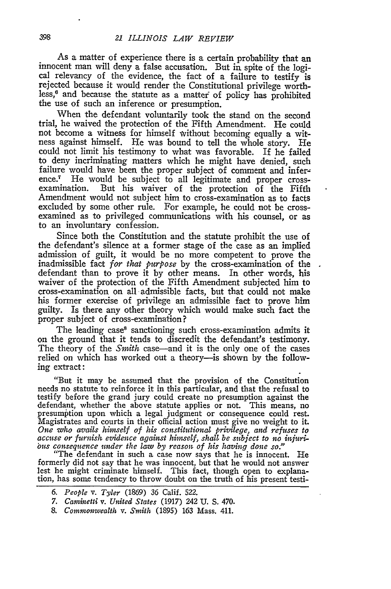As a matter of experience there is a certain probability that an innocent man will deny a false accusation. But in spite of the logical relevancy of the evidence, the fact of a failure to testify is rejected because it would render the Constitutional privilege worthless, $6$  and because the statute as a matter of policy has prohibited the use of such an inference or presumption.

When the defendant voluntarily took the stand on the second trial, he waived the protection of the Fifth Amendment. He could not become a witness for himself without becoming equally a witness against himself. He was bound to tell the whole story. He could not limit his testimony to what was favorable. If he failed to deny incriminating matters which he might have denied, such failure would have been the proper subject of comment and inference.7 He would be subject to all legitimate and proper crossexamination. But his waiver of the protection of the Fifth Amendment would not subject him to cross-examination as to facts excluded by some other rule. For example, he could not be crossexamined as to privileged communications with his counsel, or as to an involuntary confession.

Since both the Constitution and the statute prohibit the use of the defendant's silence at a former stage of the case as an implied admission of guilt, it would be no more competent to prove the inadmissible fact *for that purpose* by the cross-examination of the defendant than to prove it by other means. In other words, his waiver of the protection of the Fifth Amendment subjected him to cross-examination on all admissible facts, but that could not make his former exercise of privilege an admissible fact to prove him guilty. Is there any other theory which would make such fact the proper subject of cross-examination?

The leading case<sup>8</sup> sanctioning such cross-examination admits it on the ground that it tends to discredit the defendant's testimony. The theory of the *Smith* case-and it is the only one of the cases relied on which has worked out a theory-is shown by the following extract:

"But it may be assumed that the provision of the Constitution needs no statute to reinforce it in this particular, and that the refusal to testify before the grand jury could create no presumption against the defendant, whether the above statute applies or not. This means, no presumption upon which a legal judgment or consequence could rest. Magistrates and courts in their official action must give no weight to it. One who avails himself of his constitutional privilege, and refuses to accuse or furnish evidence against himself, shall be subject to no injurious consequence under the law by reason of his having done so." "The defendant

formerly did not say that he was innocent, but that he would not answer lest he might criminate himself. This fact, though open to explana- tion, has some tendency to throw doubt on the truth of his present testi-

- *6. People v. Tyler* (1869) 36 Calif. 522.
- *7. Caininetti v. United States* (1917) 242 U. S. 470.
- *8. Commonwealth v. Smith* (1895) 163 Mass. 411.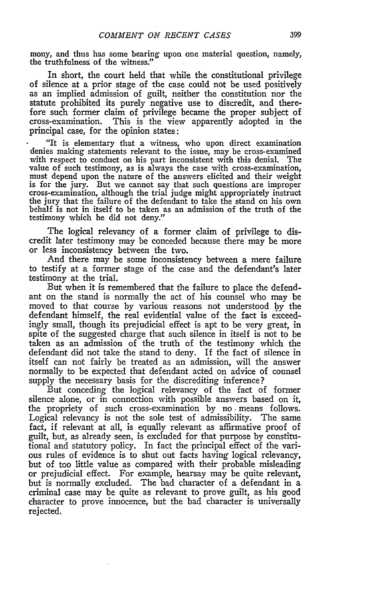mony, and thus has some bearing upon one material question, namely, the truthfulness of the witness.'

In short, the court held that while the constitutional privilege of silence at a prior stage of the case could not be used positively as an implied admission of guilt, neither the constitution nor the statute prohibited its purely negative use to discredit, and therefore such former claim of privilege became the proper subject of cross-examination. This is the view apparently adopted in the principal case, for the opinion states:

"It is elementary that a witness, who upon direct examination denies making statements relevant to the issue, may be cross-examined with respect to conduct on his part inconsistent with this denial. The value of such testimony, as is always the case with cross-examination, must depend upon the nature of the answers elicited and their weight is for the jury. But we cannot say that such questions are improper cross-examination, although the trial judge might appropriately instruct the jury that the failure of the defendant to take the stand on his own behalf is not in itself to be taken as an admission of the truth of the testimony which he did not deny."

The logical relevancy of a former claim of privilege to discredit later testimony may be conceded because there may be more or less inconsistency between the two.

And there may be some inconsistency between a mere failure to testify at a former stage of the case and the defendant's later testimony at the trial.

But when it is remembered that the failure to place the defendant on the stand is normally the act of his counsel who may be moved to that course **by** various reasons not understood by the defendant himself, the real evidential value of the fact is exceedingly small, though its prejudicial effect is apt to be very great, in spite of the suggested charge that such silence in itself is not to be taken as an admission of the truth of the testimony which the defendant did not take the stand to deny. If the fact of silence in itself can not fairly be treated as an admission, will the answer normally to be expected that defendant acted on advice of counsel supply the necessary basis for the discrediting inference?

But conceding the logical relevancy of the fact of former silence alone, or in connection with possible answers based on it, the propriety of such cross-examination by no means follows. Logical relevancy is not the sole test of admissibility. The same fact, if relevant at all, is equally relevant as affirmative proof of guilt, but, as already seen, is excluded for that purpose **by** constitutional and statutory policy. In fact the principal effect of the various rules of evidence is to shut out facts having logical relevancy, but of too little value as compared with their probable misleading or prejudicial effect. For example, hearsay may be quite relevant, but is normally excluded. The bad character of a defendant in a criminal case may be quite as relevant to prove guilt, as his good character to prove innocence, but the bad character is universally rejected.